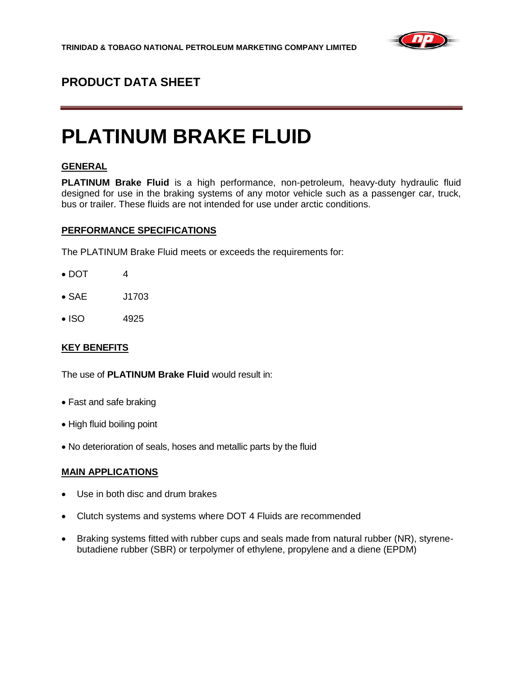

# **PRODUCT DATA SHEET**

# **PLATINUM BRAKE FLUID**

# **GENERAL**

**PLATINUM Brake Fluid** is a high performance, non-petroleum, heavy-duty hydraulic fluid designed for use in the braking systems of any motor vehicle such as a passenger car, truck, bus or trailer. These fluids are not intended for use under arctic conditions.

## **PERFORMANCE SPECIFICATIONS**

The PLATINUM Brake Fluid meets or exceeds the requirements for:

- $\bullet$  DOT 4
- SAE J1703
- $\bullet$  ISO 4925

# **KEY BENEFITS**

The use of **PLATINUM Brake Fluid** would result in:

- Fast and safe braking
- High fluid boiling point
- No deterioration of seals, hoses and metallic parts by the fluid

## **MAIN APPLICATIONS**

- Use in both disc and drum brakes
- Clutch systems and systems where DOT 4 Fluids are recommended
- Braking systems fitted with rubber cups and seals made from natural rubber (NR), styrenebutadiene rubber (SBR) or terpolymer of ethylene, propylene and a diene (EPDM)